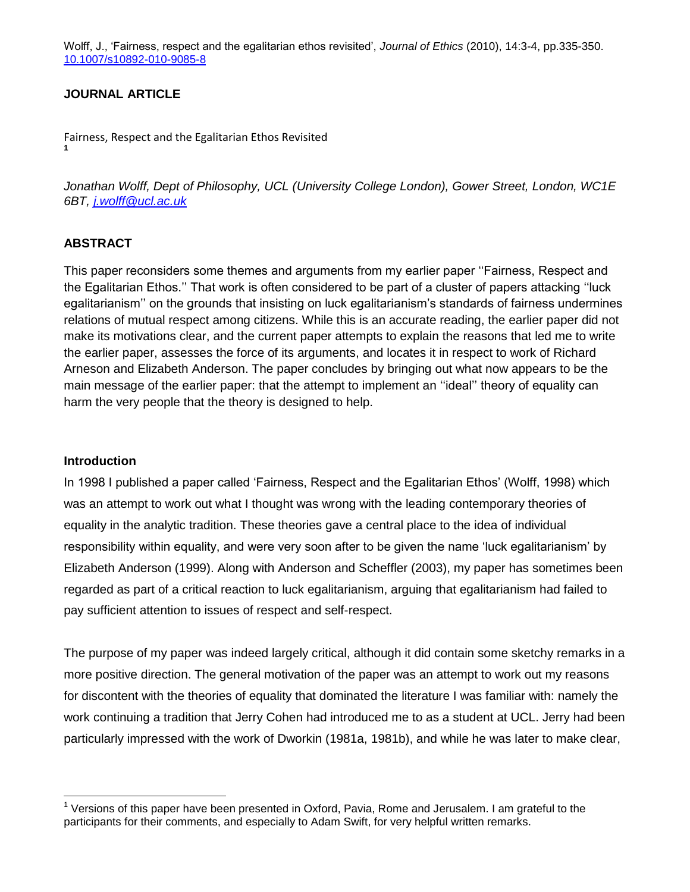Wolff, J., 'Fairness, respect and the egalitarian ethos revisited', *Journal of Ethics* (2010), 14:3-4, pp.335-350. 10.1007/s10892-010-9085-8

# **JOURNAL ARTICLE**

Fairness, Respect and the Egalitarian Ethos Revisited **1**

*Jonathan Wolff, Dept of Philosophy, UCL (University College London), Gower Street, London, WC1E 6BT, [j.wolff@ucl.ac.uk](mailto:j.wolff@ucl.ac.uk)*

# **ABSTRACT**

This paper reconsiders some themes and arguments from my earlier paper ''Fairness, Respect and the Egalitarian Ethos.'' That work is often considered to be part of a cluster of papers attacking ''luck egalitarianism'' on the grounds that insisting on luck egalitarianism's standards of fairness undermines relations of mutual respect among citizens. While this is an accurate reading, the earlier paper did not make its motivations clear, and the current paper attempts to explain the reasons that led me to write the earlier paper, assesses the force of its arguments, and locates it in respect to work of Richard Arneson and Elizabeth Anderson. The paper concludes by bringing out what now appears to be the main message of the earlier paper: that the attempt to implement an ''ideal'' theory of equality can harm the very people that the theory is designed to help.

## **Introduction**

 $\overline{a}$ 

In 1998 I published a paper called 'Fairness, Respect and the Egalitarian Ethos' (Wolff, 1998) which was an attempt to work out what I thought was wrong with the leading contemporary theories of equality in the analytic tradition. These theories gave a central place to the idea of individual responsibility within equality, and were very soon after to be given the name 'luck egalitarianism' by Elizabeth Anderson (1999). Along with Anderson and Scheffler (2003), my paper has sometimes been regarded as part of a critical reaction to luck egalitarianism, arguing that egalitarianism had failed to pay sufficient attention to issues of respect and self-respect.

The purpose of my paper was indeed largely critical, although it did contain some sketchy remarks in a more positive direction. The general motivation of the paper was an attempt to work out my reasons for discontent with the theories of equality that dominated the literature I was familiar with: namely the work continuing a tradition that Jerry Cohen had introduced me to as a student at UCL. Jerry had been particularly impressed with the work of Dworkin (1981a, 1981b), and while he was later to make clear,

<sup>&</sup>lt;sup>1</sup> Versions of this paper have been presented in Oxford, Pavia, Rome and Jerusalem. I am grateful to the participants for their comments, and especially to Adam Swift, for very helpful written remarks.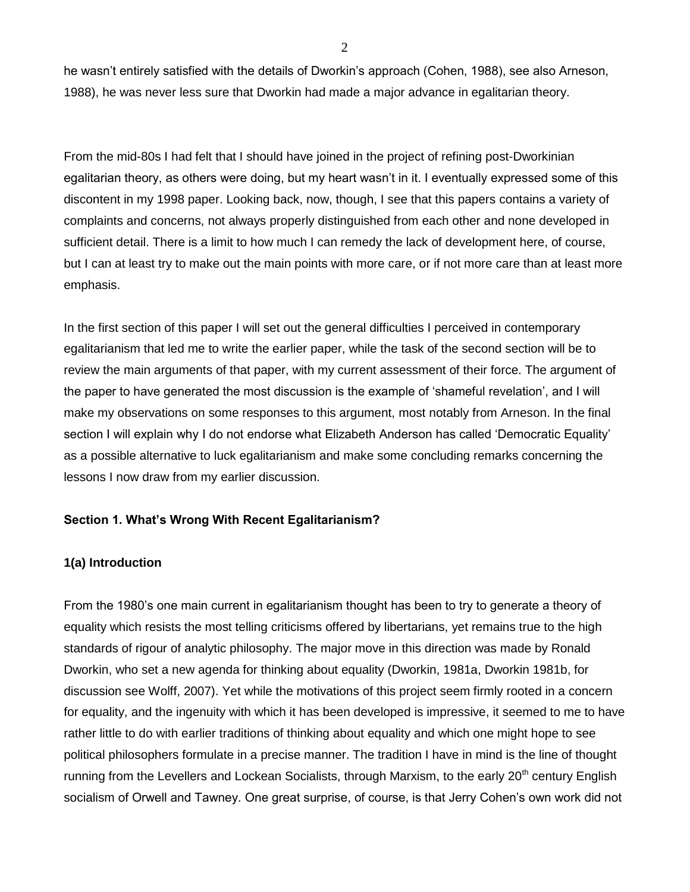he wasn't entirely satisfied with the details of Dworkin's approach (Cohen, 1988), see also Arneson, 1988), he was never less sure that Dworkin had made a major advance in egalitarian theory.

From the mid-80s I had felt that I should have joined in the project of refining post-Dworkinian egalitarian theory, as others were doing, but my heart wasn't in it. I eventually expressed some of this discontent in my 1998 paper. Looking back, now, though, I see that this papers contains a variety of complaints and concerns, not always properly distinguished from each other and none developed in sufficient detail. There is a limit to how much I can remedy the lack of development here, of course, but I can at least try to make out the main points with more care, or if not more care than at least more emphasis.

In the first section of this paper I will set out the general difficulties I perceived in contemporary egalitarianism that led me to write the earlier paper, while the task of the second section will be to review the main arguments of that paper, with my current assessment of their force. The argument of the paper to have generated the most discussion is the example of 'shameful revelation', and I will make my observations on some responses to this argument, most notably from Arneson. In the final section I will explain why I do not endorse what Elizabeth Anderson has called 'Democratic Equality' as a possible alternative to luck egalitarianism and make some concluding remarks concerning the lessons I now draw from my earlier discussion.

# **Section 1. What's Wrong With Recent Egalitarianism?**

## **1(a) Introduction**

From the 1980's one main current in egalitarianism thought has been to try to generate a theory of equality which resists the most telling criticisms offered by libertarians, yet remains true to the high standards of rigour of analytic philosophy. The major move in this direction was made by Ronald Dworkin, who set a new agenda for thinking about equality (Dworkin, 1981a, Dworkin 1981b, for discussion see Wolff, 2007). Yet while the motivations of this project seem firmly rooted in a concern for equality, and the ingenuity with which it has been developed is impressive, it seemed to me to have rather little to do with earlier traditions of thinking about equality and which one might hope to see political philosophers formulate in a precise manner. The tradition I have in mind is the line of thought running from the Levellers and Lockean Socialists, through Marxism, to the early 20<sup>th</sup> century English socialism of Orwell and Tawney. One great surprise, of course, is that Jerry Cohen's own work did not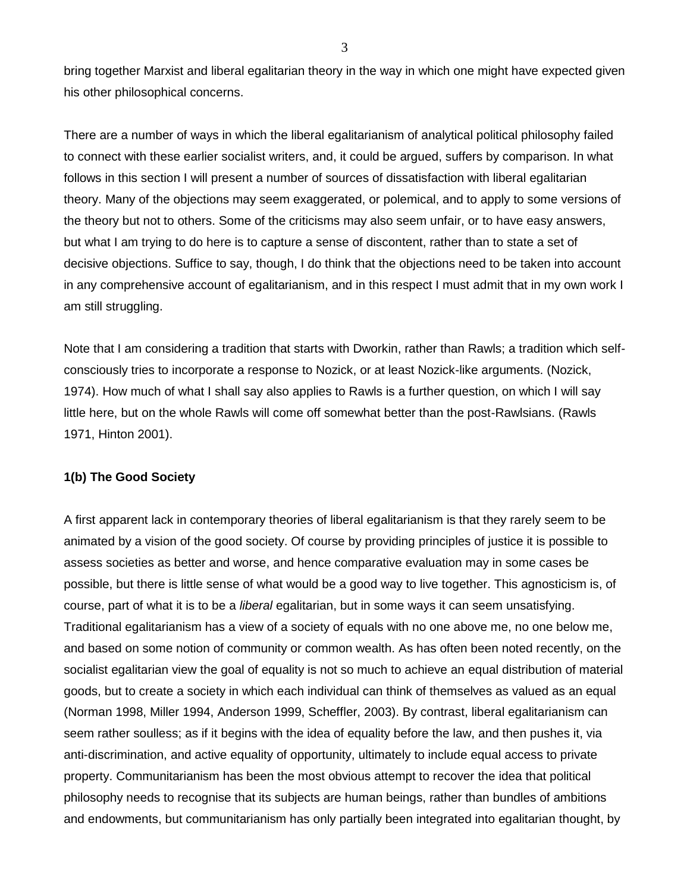bring together Marxist and liberal egalitarian theory in the way in which one might have expected given his other philosophical concerns.

There are a number of ways in which the liberal egalitarianism of analytical political philosophy failed to connect with these earlier socialist writers, and, it could be argued, suffers by comparison. In what follows in this section I will present a number of sources of dissatisfaction with liberal egalitarian theory. Many of the objections may seem exaggerated, or polemical, and to apply to some versions of the theory but not to others. Some of the criticisms may also seem unfair, or to have easy answers, but what I am trying to do here is to capture a sense of discontent, rather than to state a set of decisive objections. Suffice to say, though, I do think that the objections need to be taken into account in any comprehensive account of egalitarianism, and in this respect I must admit that in my own work I am still struggling.

Note that I am considering a tradition that starts with Dworkin, rather than Rawls; a tradition which selfconsciously tries to incorporate a response to Nozick, or at least Nozick-like arguments. (Nozick, 1974). How much of what I shall say also applies to Rawls is a further question, on which I will say little here, but on the whole Rawls will come off somewhat better than the post-Rawlsians. (Rawls 1971, Hinton 2001).

# **1(b) The Good Society**

A first apparent lack in contemporary theories of liberal egalitarianism is that they rarely seem to be animated by a vision of the good society. Of course by providing principles of justice it is possible to assess societies as better and worse, and hence comparative evaluation may in some cases be possible, but there is little sense of what would be a good way to live together. This agnosticism is, of course, part of what it is to be a *liberal* egalitarian, but in some ways it can seem unsatisfying. Traditional egalitarianism has a view of a society of equals with no one above me, no one below me, and based on some notion of community or common wealth. As has often been noted recently, on the socialist egalitarian view the goal of equality is not so much to achieve an equal distribution of material goods, but to create a society in which each individual can think of themselves as valued as an equal (Norman 1998, Miller 1994, Anderson 1999, Scheffler, 2003). By contrast, liberal egalitarianism can seem rather soulless; as if it begins with the idea of equality before the law, and then pushes it, via anti-discrimination, and active equality of opportunity, ultimately to include equal access to private property. Communitarianism has been the most obvious attempt to recover the idea that political philosophy needs to recognise that its subjects are human beings, rather than bundles of ambitions and endowments, but communitarianism has only partially been integrated into egalitarian thought, by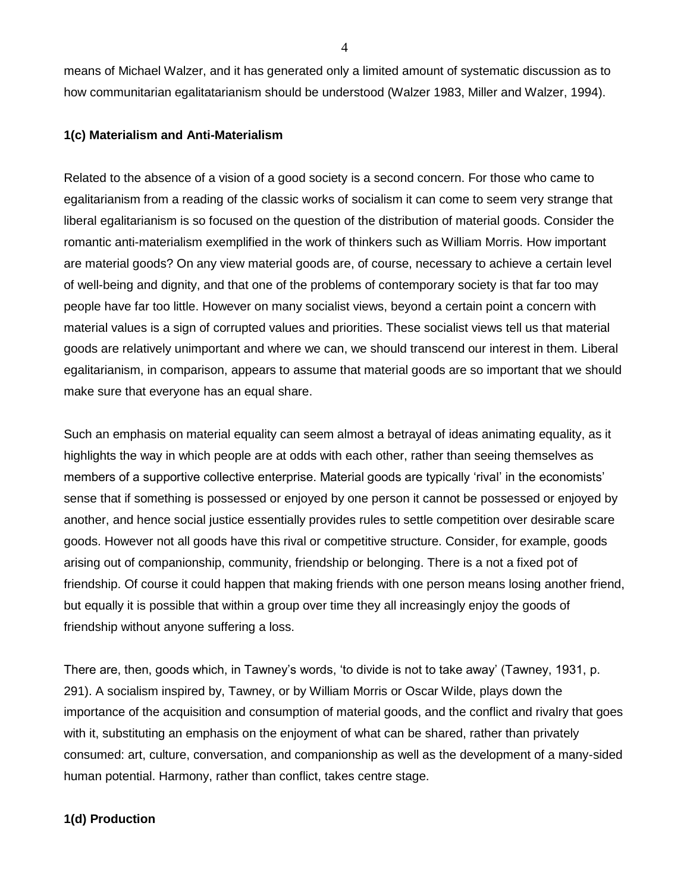means of Michael Walzer, and it has generated only a limited amount of systematic discussion as to how communitarian egalitatarianism should be understood (Walzer 1983, Miller and Walzer, 1994).

# **1(c) Materialism and Anti-Materialism**

Related to the absence of a vision of a good society is a second concern. For those who came to egalitarianism from a reading of the classic works of socialism it can come to seem very strange that liberal egalitarianism is so focused on the question of the distribution of material goods. Consider the romantic anti-materialism exemplified in the work of thinkers such as William Morris. How important are material goods? On any view material goods are, of course, necessary to achieve a certain level of well-being and dignity, and that one of the problems of contemporary society is that far too may people have far too little. However on many socialist views, beyond a certain point a concern with material values is a sign of corrupted values and priorities. These socialist views tell us that material goods are relatively unimportant and where we can, we should transcend our interest in them. Liberal egalitarianism, in comparison, appears to assume that material goods are so important that we should make sure that everyone has an equal share.

Such an emphasis on material equality can seem almost a betrayal of ideas animating equality, as it highlights the way in which people are at odds with each other, rather than seeing themselves as members of a supportive collective enterprise. Material goods are typically 'rival' in the economists' sense that if something is possessed or enjoyed by one person it cannot be possessed or enjoyed by another, and hence social justice essentially provides rules to settle competition over desirable scare goods. However not all goods have this rival or competitive structure. Consider, for example, goods arising out of companionship, community, friendship or belonging. There is a not a fixed pot of friendship. Of course it could happen that making friends with one person means losing another friend, but equally it is possible that within a group over time they all increasingly enjoy the goods of friendship without anyone suffering a loss.

There are, then, goods which, in Tawney's words, 'to divide is not to take away' (Tawney, 1931, p. 291). A socialism inspired by, Tawney, or by William Morris or Oscar Wilde, plays down the importance of the acquisition and consumption of material goods, and the conflict and rivalry that goes with it, substituting an emphasis on the enjoyment of what can be shared, rather than privately consumed: art, culture, conversation, and companionship as well as the development of a many-sided human potential. Harmony, rather than conflict, takes centre stage.

## **1(d) Production**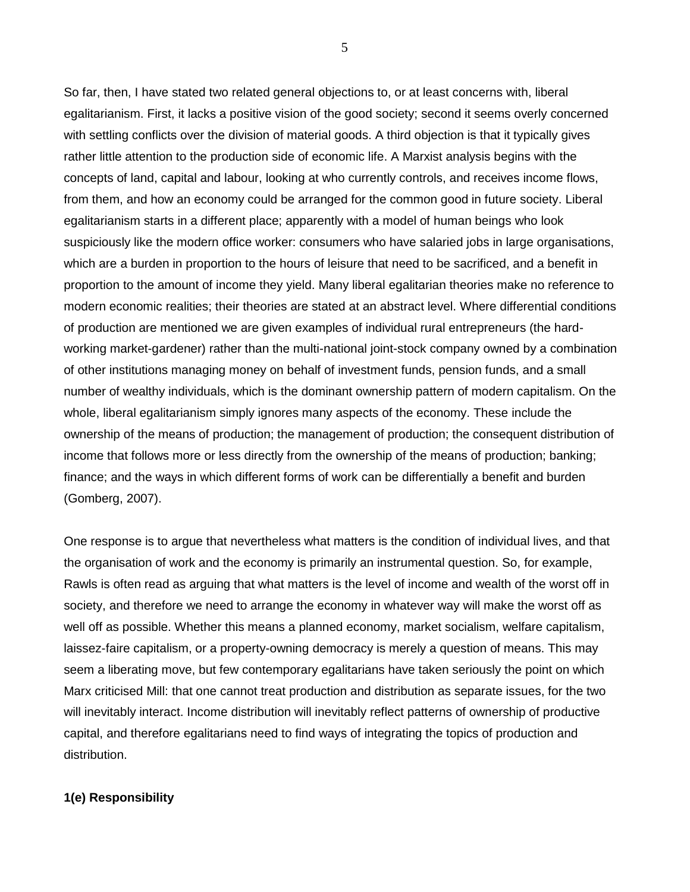So far, then, I have stated two related general objections to, or at least concerns with, liberal egalitarianism. First, it lacks a positive vision of the good society; second it seems overly concerned with settling conflicts over the division of material goods. A third objection is that it typically gives rather little attention to the production side of economic life. A Marxist analysis begins with the concepts of land, capital and labour, looking at who currently controls, and receives income flows, from them, and how an economy could be arranged for the common good in future society. Liberal egalitarianism starts in a different place; apparently with a model of human beings who look suspiciously like the modern office worker: consumers who have salaried jobs in large organisations, which are a burden in proportion to the hours of leisure that need to be sacrificed, and a benefit in proportion to the amount of income they yield. Many liberal egalitarian theories make no reference to modern economic realities; their theories are stated at an abstract level. Where differential conditions of production are mentioned we are given examples of individual rural entrepreneurs (the hardworking market-gardener) rather than the multi-national joint-stock company owned by a combination of other institutions managing money on behalf of investment funds, pension funds, and a small number of wealthy individuals, which is the dominant ownership pattern of modern capitalism. On the whole, liberal egalitarianism simply ignores many aspects of the economy. These include the ownership of the means of production; the management of production; the consequent distribution of income that follows more or less directly from the ownership of the means of production; banking; finance; and the ways in which different forms of work can be differentially a benefit and burden (Gomberg, 2007).

One response is to argue that nevertheless what matters is the condition of individual lives, and that the organisation of work and the economy is primarily an instrumental question. So, for example, Rawls is often read as arguing that what matters is the level of income and wealth of the worst off in society, and therefore we need to arrange the economy in whatever way will make the worst off as well off as possible. Whether this means a planned economy, market socialism, welfare capitalism, laissez-faire capitalism, or a property-owning democracy is merely a question of means. This may seem a liberating move, but few contemporary egalitarians have taken seriously the point on which Marx criticised Mill: that one cannot treat production and distribution as separate issues, for the two will inevitably interact. Income distribution will inevitably reflect patterns of ownership of productive capital, and therefore egalitarians need to find ways of integrating the topics of production and distribution.

## **1(e) Responsibility**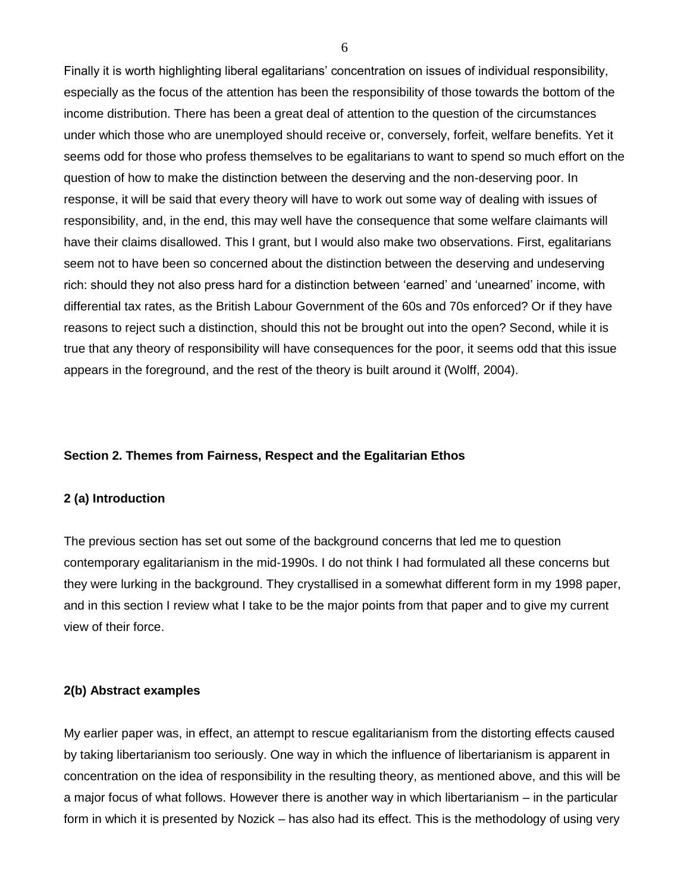Finally it is worth highlighting liberal egalitarians' concentration on issues of individual responsibility, especially as the focus of the attention has been the responsibility of those towards the bottom of the income distribution. There has been a great deal of attention to the question of the circumstances under which those who are unemployed should receive or, conversely, forfeit, welfare benefits. Yet it seems odd for those who profess themselves to be egalitarians to want to spend so much effort on the question of how to make the distinction between the deserving and the non-deserving poor. In response, it will be said that every theory will have to work out some way of dealing with issues of responsibility, and, in the end, this may well have the consequence that some welfare claimants will have their claims disallowed. This I grant, but I would also make two observations. First, egalitarians seem not to have been so concerned about the distinction between the deserving and undeserving rich: should they not also press hard for a distinction between 'earned' and 'unearned' income, with differential tax rates, as the British Labour Government of the 60s and 70s enforced? Or if they have reasons to reject such a distinction, should this not be brought out into the open? Second, while it is true that any theory of responsibility will have consequences for the poor, it seems odd that this issue appears in the foreground, and the rest of the theory is built around it (Wolff, 2004).

## **Section 2. Themes from Fairness, Respect and the Egalitarian Ethos**

#### **2 (a) Introduction**

The previous section has set out some of the background concerns that led me to question contemporary egalitarianism in the mid-1990s. I do not think I had formulated all these concerns but they were lurking in the background. They crystallised in a somewhat different form in my 1998 paper, and in this section I review what I take to be the major points from that paper and to give my current view of their force.

#### **2(b) Abstract examples**

My earlier paper was, in effect, an attempt to rescue egalitarianism from the distorting effects caused by taking libertarianism too seriously. One way in which the influence of libertarianism is apparent in concentration on the idea of responsibility in the resulting theory, as mentioned above, and this will be a major focus of what follows. However there is another way in which libertarianism – in the particular form in which it is presented by Nozick – has also had its effect. This is the methodology of using very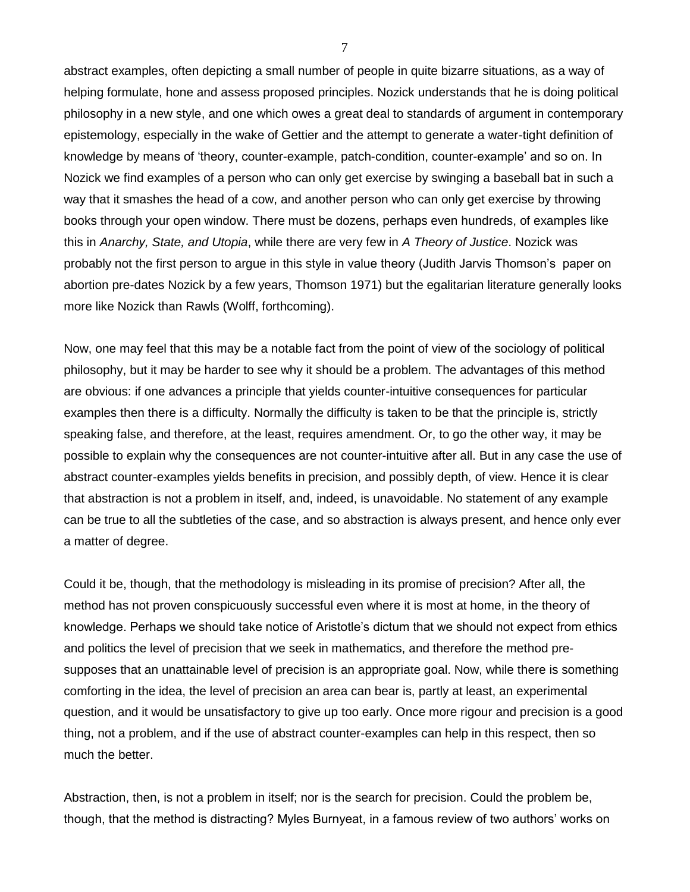abstract examples, often depicting a small number of people in quite bizarre situations, as a way of helping formulate, hone and assess proposed principles. Nozick understands that he is doing political philosophy in a new style, and one which owes a great deal to standards of argument in contemporary epistemology, especially in the wake of Gettier and the attempt to generate a water-tight definition of knowledge by means of 'theory, counter-example, patch-condition, counter-example' and so on. In Nozick we find examples of a person who can only get exercise by swinging a baseball bat in such a way that it smashes the head of a cow, and another person who can only get exercise by throwing books through your open window. There must be dozens, perhaps even hundreds, of examples like this in *Anarchy, State, and Utopia*, while there are very few in *A Theory of Justice*. Nozick was probably not the first person to argue in this style in value theory (Judith Jarvis Thomson's paper on abortion pre-dates Nozick by a few years, Thomson 1971) but the egalitarian literature generally looks more like Nozick than Rawls (Wolff, forthcoming).

Now, one may feel that this may be a notable fact from the point of view of the sociology of political philosophy, but it may be harder to see why it should be a problem. The advantages of this method are obvious: if one advances a principle that yields counter-intuitive consequences for particular examples then there is a difficulty. Normally the difficulty is taken to be that the principle is, strictly speaking false, and therefore, at the least, requires amendment. Or, to go the other way, it may be possible to explain why the consequences are not counter-intuitive after all. But in any case the use of abstract counter-examples yields benefits in precision, and possibly depth, of view. Hence it is clear that abstraction is not a problem in itself, and, indeed, is unavoidable. No statement of any example can be true to all the subtleties of the case, and so abstraction is always present, and hence only ever a matter of degree.

Could it be, though, that the methodology is misleading in its promise of precision? After all, the method has not proven conspicuously successful even where it is most at home, in the theory of knowledge. Perhaps we should take notice of Aristotle's dictum that we should not expect from ethics and politics the level of precision that we seek in mathematics, and therefore the method presupposes that an unattainable level of precision is an appropriate goal. Now, while there is something comforting in the idea, the level of precision an area can bear is, partly at least, an experimental question, and it would be unsatisfactory to give up too early. Once more rigour and precision is a good thing, not a problem, and if the use of abstract counter-examples can help in this respect, then so much the better.

Abstraction, then, is not a problem in itself; nor is the search for precision. Could the problem be, though, that the method is distracting? Myles Burnyeat, in a famous review of two authors' works on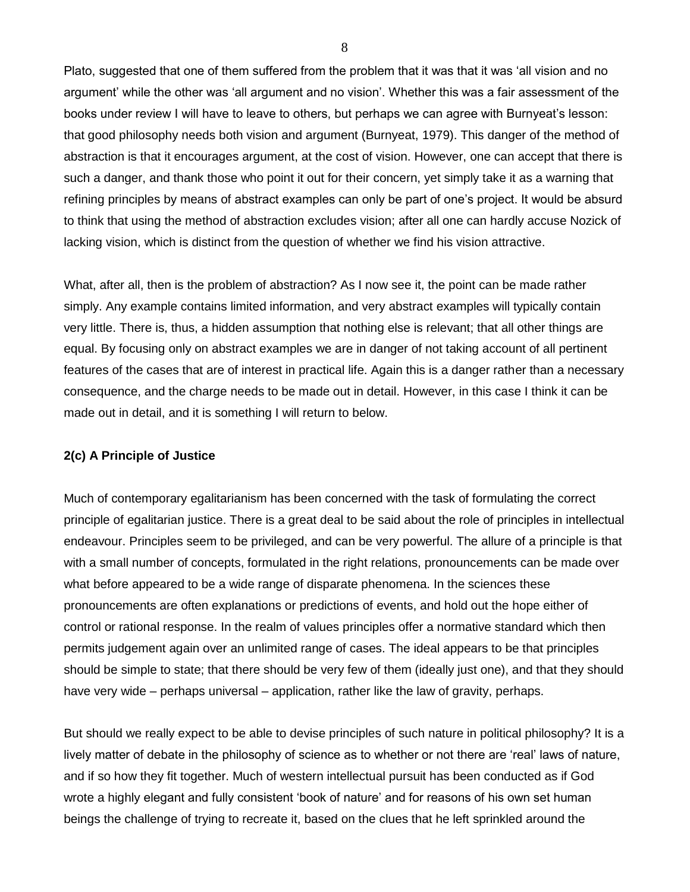Plato, suggested that one of them suffered from the problem that it was that it was 'all vision and no argument' while the other was 'all argument and no vision'. Whether this was a fair assessment of the books under review I will have to leave to others, but perhaps we can agree with Burnyeat's lesson: that good philosophy needs both vision and argument (Burnyeat, 1979). This danger of the method of abstraction is that it encourages argument, at the cost of vision. However, one can accept that there is such a danger, and thank those who point it out for their concern, yet simply take it as a warning that refining principles by means of abstract examples can only be part of one's project. It would be absurd to think that using the method of abstraction excludes vision; after all one can hardly accuse Nozick of lacking vision, which is distinct from the question of whether we find his vision attractive.

What, after all, then is the problem of abstraction? As I now see it, the point can be made rather simply. Any example contains limited information, and very abstract examples will typically contain very little. There is, thus, a hidden assumption that nothing else is relevant; that all other things are equal. By focusing only on abstract examples we are in danger of not taking account of all pertinent features of the cases that are of interest in practical life. Again this is a danger rather than a necessary consequence, and the charge needs to be made out in detail. However, in this case I think it can be made out in detail, and it is something I will return to below.

# **2(c) A Principle of Justice**

Much of contemporary egalitarianism has been concerned with the task of formulating the correct principle of egalitarian justice. There is a great deal to be said about the role of principles in intellectual endeavour. Principles seem to be privileged, and can be very powerful. The allure of a principle is that with a small number of concepts, formulated in the right relations, pronouncements can be made over what before appeared to be a wide range of disparate phenomena. In the sciences these pronouncements are often explanations or predictions of events, and hold out the hope either of control or rational response. In the realm of values principles offer a normative standard which then permits judgement again over an unlimited range of cases. The ideal appears to be that principles should be simple to state; that there should be very few of them (ideally just one), and that they should have very wide – perhaps universal – application, rather like the law of gravity, perhaps.

But should we really expect to be able to devise principles of such nature in political philosophy? It is a lively matter of debate in the philosophy of science as to whether or not there are 'real' laws of nature, and if so how they fit together. Much of western intellectual pursuit has been conducted as if God wrote a highly elegant and fully consistent 'book of nature' and for reasons of his own set human beings the challenge of trying to recreate it, based on the clues that he left sprinkled around the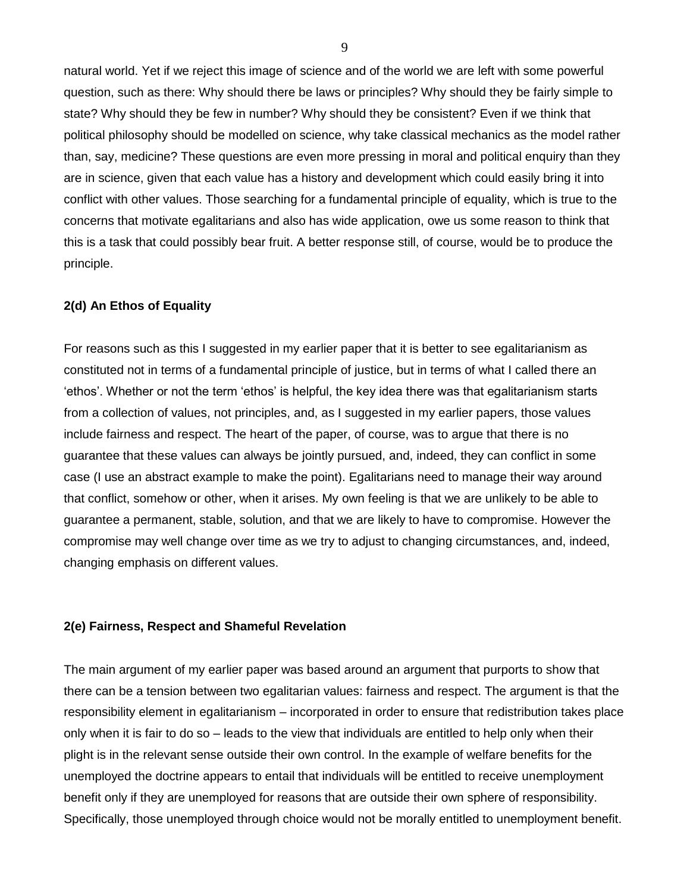natural world. Yet if we reject this image of science and of the world we are left with some powerful question, such as there: Why should there be laws or principles? Why should they be fairly simple to state? Why should they be few in number? Why should they be consistent? Even if we think that political philosophy should be modelled on science, why take classical mechanics as the model rather than, say, medicine? These questions are even more pressing in moral and political enquiry than they are in science, given that each value has a history and development which could easily bring it into conflict with other values. Those searching for a fundamental principle of equality, which is true to the concerns that motivate egalitarians and also has wide application, owe us some reason to think that this is a task that could possibly bear fruit. A better response still, of course, would be to produce the principle.

# **2(d) An Ethos of Equality**

For reasons such as this I suggested in my earlier paper that it is better to see egalitarianism as constituted not in terms of a fundamental principle of justice, but in terms of what I called there an 'ethos'. Whether or not the term 'ethos' is helpful, the key idea there was that egalitarianism starts from a collection of values, not principles, and, as I suggested in my earlier papers, those values include fairness and respect. The heart of the paper, of course, was to argue that there is no guarantee that these values can always be jointly pursued, and, indeed, they can conflict in some case (I use an abstract example to make the point). Egalitarians need to manage their way around that conflict, somehow or other, when it arises. My own feeling is that we are unlikely to be able to guarantee a permanent, stable, solution, and that we are likely to have to compromise. However the compromise may well change over time as we try to adjust to changing circumstances, and, indeed, changing emphasis on different values.

# **2(e) Fairness, Respect and Shameful Revelation**

The main argument of my earlier paper was based around an argument that purports to show that there can be a tension between two egalitarian values: fairness and respect. The argument is that the responsibility element in egalitarianism – incorporated in order to ensure that redistribution takes place only when it is fair to do so – leads to the view that individuals are entitled to help only when their plight is in the relevant sense outside their own control. In the example of welfare benefits for the unemployed the doctrine appears to entail that individuals will be entitled to receive unemployment benefit only if they are unemployed for reasons that are outside their own sphere of responsibility. Specifically, those unemployed through choice would not be morally entitled to unemployment benefit.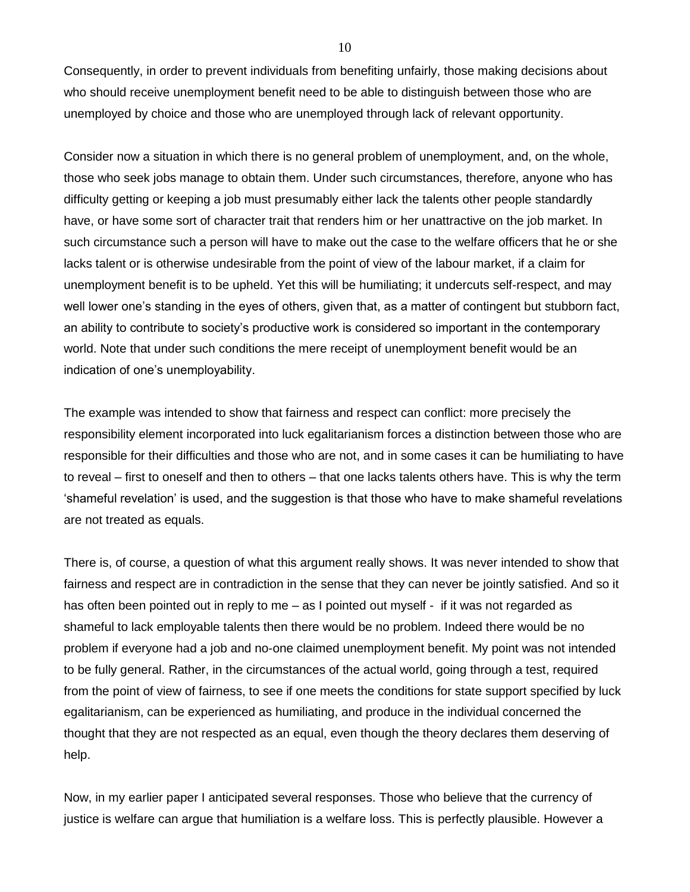Consequently, in order to prevent individuals from benefiting unfairly, those making decisions about who should receive unemployment benefit need to be able to distinguish between those who are unemployed by choice and those who are unemployed through lack of relevant opportunity.

Consider now a situation in which there is no general problem of unemployment, and, on the whole, those who seek jobs manage to obtain them. Under such circumstances, therefore, anyone who has difficulty getting or keeping a job must presumably either lack the talents other people standardly have, or have some sort of character trait that renders him or her unattractive on the job market. In such circumstance such a person will have to make out the case to the welfare officers that he or she lacks talent or is otherwise undesirable from the point of view of the labour market, if a claim for unemployment benefit is to be upheld. Yet this will be humiliating; it undercuts self-respect, and may well lower one's standing in the eyes of others, given that, as a matter of contingent but stubborn fact, an ability to contribute to society's productive work is considered so important in the contemporary world. Note that under such conditions the mere receipt of unemployment benefit would be an indication of one's unemployability.

The example was intended to show that fairness and respect can conflict: more precisely the responsibility element incorporated into luck egalitarianism forces a distinction between those who are responsible for their difficulties and those who are not, and in some cases it can be humiliating to have to reveal – first to oneself and then to others – that one lacks talents others have. This is why the term 'shameful revelation' is used, and the suggestion is that those who have to make shameful revelations are not treated as equals.

There is, of course, a question of what this argument really shows. It was never intended to show that fairness and respect are in contradiction in the sense that they can never be jointly satisfied. And so it has often been pointed out in reply to me - as I pointed out myself - if it was not regarded as shameful to lack employable talents then there would be no problem. Indeed there would be no problem if everyone had a job and no-one claimed unemployment benefit. My point was not intended to be fully general. Rather, in the circumstances of the actual world, going through a test, required from the point of view of fairness, to see if one meets the conditions for state support specified by luck egalitarianism, can be experienced as humiliating, and produce in the individual concerned the thought that they are not respected as an equal, even though the theory declares them deserving of help.

Now, in my earlier paper I anticipated several responses. Those who believe that the currency of justice is welfare can argue that humiliation is a welfare loss. This is perfectly plausible. However a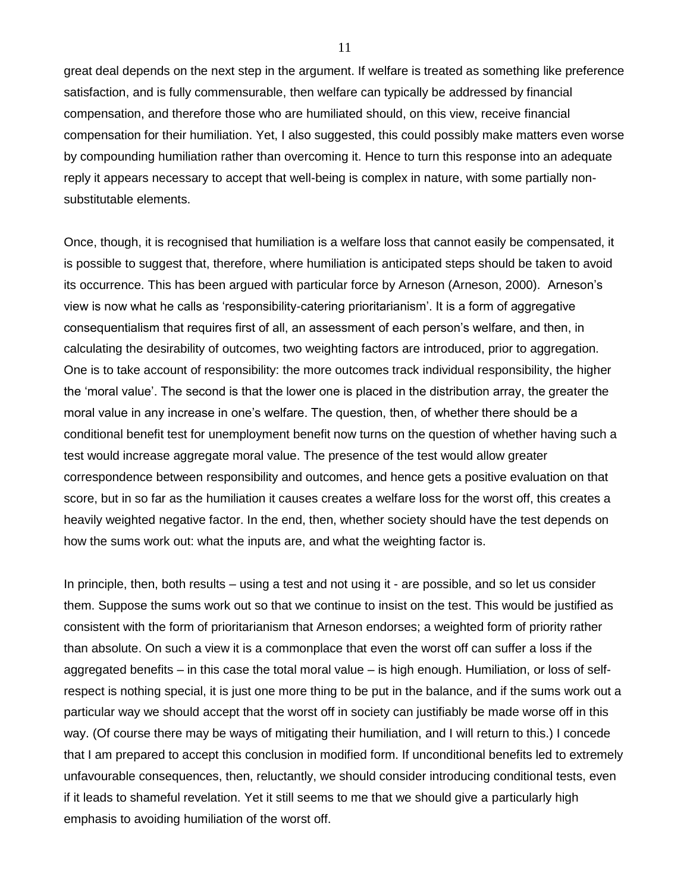great deal depends on the next step in the argument. If welfare is treated as something like preference satisfaction, and is fully commensurable, then welfare can typically be addressed by financial compensation, and therefore those who are humiliated should, on this view, receive financial compensation for their humiliation. Yet, I also suggested, this could possibly make matters even worse by compounding humiliation rather than overcoming it. Hence to turn this response into an adequate reply it appears necessary to accept that well-being is complex in nature, with some partially nonsubstitutable elements.

Once, though, it is recognised that humiliation is a welfare loss that cannot easily be compensated, it is possible to suggest that, therefore, where humiliation is anticipated steps should be taken to avoid its occurrence. This has been argued with particular force by Arneson (Arneson, 2000). Arneson's view is now what he calls as 'responsibility-catering prioritarianism'. It is a form of aggregative consequentialism that requires first of all, an assessment of each person's welfare, and then, in calculating the desirability of outcomes, two weighting factors are introduced, prior to aggregation. One is to take account of responsibility: the more outcomes track individual responsibility, the higher the 'moral value'. The second is that the lower one is placed in the distribution array, the greater the moral value in any increase in one's welfare. The question, then, of whether there should be a conditional benefit test for unemployment benefit now turns on the question of whether having such a test would increase aggregate moral value. The presence of the test would allow greater correspondence between responsibility and outcomes, and hence gets a positive evaluation on that score, but in so far as the humiliation it causes creates a welfare loss for the worst off, this creates a heavily weighted negative factor. In the end, then, whether society should have the test depends on how the sums work out: what the inputs are, and what the weighting factor is.

In principle, then, both results – using a test and not using it - are possible, and so let us consider them. Suppose the sums work out so that we continue to insist on the test. This would be justified as consistent with the form of prioritarianism that Arneson endorses; a weighted form of priority rather than absolute. On such a view it is a commonplace that even the worst off can suffer a loss if the aggregated benefits – in this case the total moral value – is high enough. Humiliation, or loss of selfrespect is nothing special, it is just one more thing to be put in the balance, and if the sums work out a particular way we should accept that the worst off in society can justifiably be made worse off in this way. (Of course there may be ways of mitigating their humiliation, and I will return to this.) I concede that I am prepared to accept this conclusion in modified form. If unconditional benefits led to extremely unfavourable consequences, then, reluctantly, we should consider introducing conditional tests, even if it leads to shameful revelation. Yet it still seems to me that we should give a particularly high emphasis to avoiding humiliation of the worst off.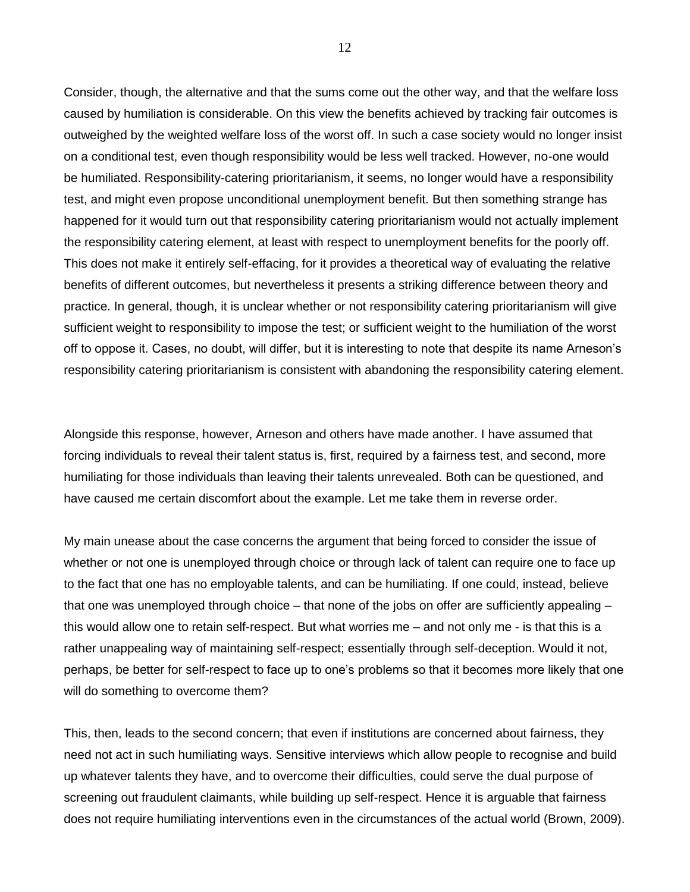Consider, though, the alternative and that the sums come out the other way, and that the welfare loss caused by humiliation is considerable. On this view the benefits achieved by tracking fair outcomes is outweighed by the weighted welfare loss of the worst off. In such a case society would no longer insist on a conditional test, even though responsibility would be less well tracked. However, no-one would be humiliated. Responsibility-catering prioritarianism, it seems, no longer would have a responsibility test, and might even propose unconditional unemployment benefit. But then something strange has happened for it would turn out that responsibility catering prioritarianism would not actually implement the responsibility catering element, at least with respect to unemployment benefits for the poorly off. This does not make it entirely self-effacing, for it provides a theoretical way of evaluating the relative benefits of different outcomes, but nevertheless it presents a striking difference between theory and practice. In general, though, it is unclear whether or not responsibility catering prioritarianism will give sufficient weight to responsibility to impose the test; or sufficient weight to the humiliation of the worst off to oppose it. Cases, no doubt, will differ, but it is interesting to note that despite its name Arneson's responsibility catering prioritarianism is consistent with abandoning the responsibility catering element.

Alongside this response, however, Arneson and others have made another. I have assumed that forcing individuals to reveal their talent status is, first, required by a fairness test, and second, more humiliating for those individuals than leaving their talents unrevealed. Both can be questioned, and have caused me certain discomfort about the example. Let me take them in reverse order.

My main unease about the case concerns the argument that being forced to consider the issue of whether or not one is unemployed through choice or through lack of talent can require one to face up to the fact that one has no employable talents, and can be humiliating. If one could, instead, believe that one was unemployed through choice – that none of the jobs on offer are sufficiently appealing – this would allow one to retain self-respect. But what worries me – and not only me - is that this is a rather unappealing way of maintaining self-respect; essentially through self-deception. Would it not, perhaps, be better for self-respect to face up to one's problems so that it becomes more likely that one will do something to overcome them?

This, then, leads to the second concern; that even if institutions are concerned about fairness, they need not act in such humiliating ways. Sensitive interviews which allow people to recognise and build up whatever talents they have, and to overcome their difficulties, could serve the dual purpose of screening out fraudulent claimants, while building up self-respect. Hence it is arguable that fairness does not require humiliating interventions even in the circumstances of the actual world (Brown, 2009).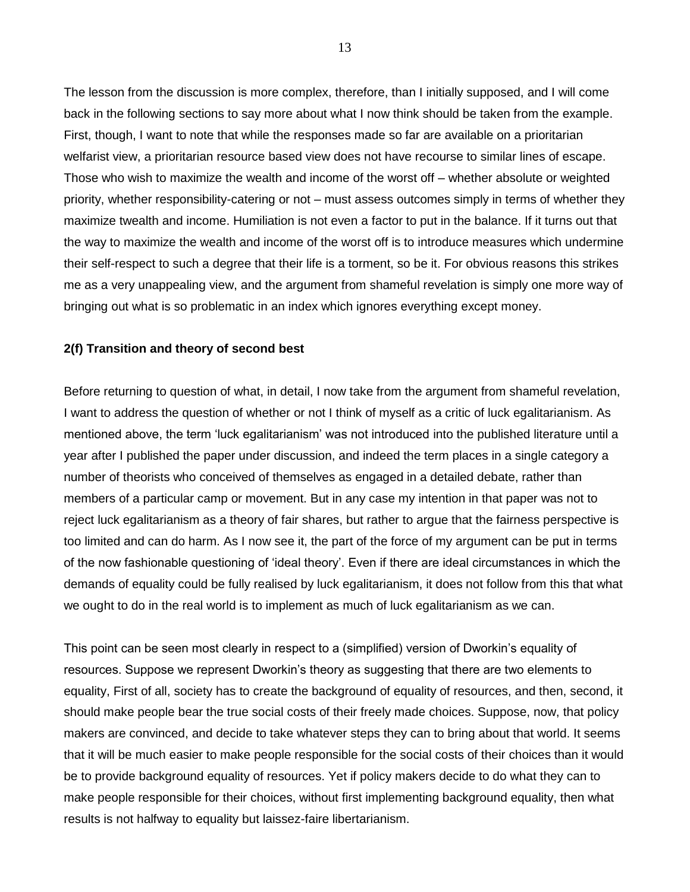The lesson from the discussion is more complex, therefore, than I initially supposed, and I will come back in the following sections to say more about what I now think should be taken from the example. First, though, I want to note that while the responses made so far are available on a prioritarian welfarist view, a prioritarian resource based view does not have recourse to similar lines of escape. Those who wish to maximize the wealth and income of the worst off – whether absolute or weighted priority, whether responsibility-catering or not – must assess outcomes simply in terms of whether they maximize twealth and income. Humiliation is not even a factor to put in the balance. If it turns out that the way to maximize the wealth and income of the worst off is to introduce measures which undermine their self-respect to such a degree that their life is a torment, so be it. For obvious reasons this strikes me as a very unappealing view, and the argument from shameful revelation is simply one more way of bringing out what is so problematic in an index which ignores everything except money.

#### **2(f) Transition and theory of second best**

Before returning to question of what, in detail, I now take from the argument from shameful revelation, I want to address the question of whether or not I think of myself as a critic of luck egalitarianism. As mentioned above, the term 'luck egalitarianism' was not introduced into the published literature until a year after I published the paper under discussion, and indeed the term places in a single category a number of theorists who conceived of themselves as engaged in a detailed debate, rather than members of a particular camp or movement. But in any case my intention in that paper was not to reject luck egalitarianism as a theory of fair shares, but rather to argue that the fairness perspective is too limited and can do harm. As I now see it, the part of the force of my argument can be put in terms of the now fashionable questioning of 'ideal theory'. Even if there are ideal circumstances in which the demands of equality could be fully realised by luck egalitarianism, it does not follow from this that what we ought to do in the real world is to implement as much of luck egalitarianism as we can.

This point can be seen most clearly in respect to a (simplified) version of Dworkin's equality of resources. Suppose we represent Dworkin's theory as suggesting that there are two elements to equality, First of all, society has to create the background of equality of resources, and then, second, it should make people bear the true social costs of their freely made choices. Suppose, now, that policy makers are convinced, and decide to take whatever steps they can to bring about that world. It seems that it will be much easier to make people responsible for the social costs of their choices than it would be to provide background equality of resources. Yet if policy makers decide to do what they can to make people responsible for their choices, without first implementing background equality, then what results is not halfway to equality but laissez-faire libertarianism.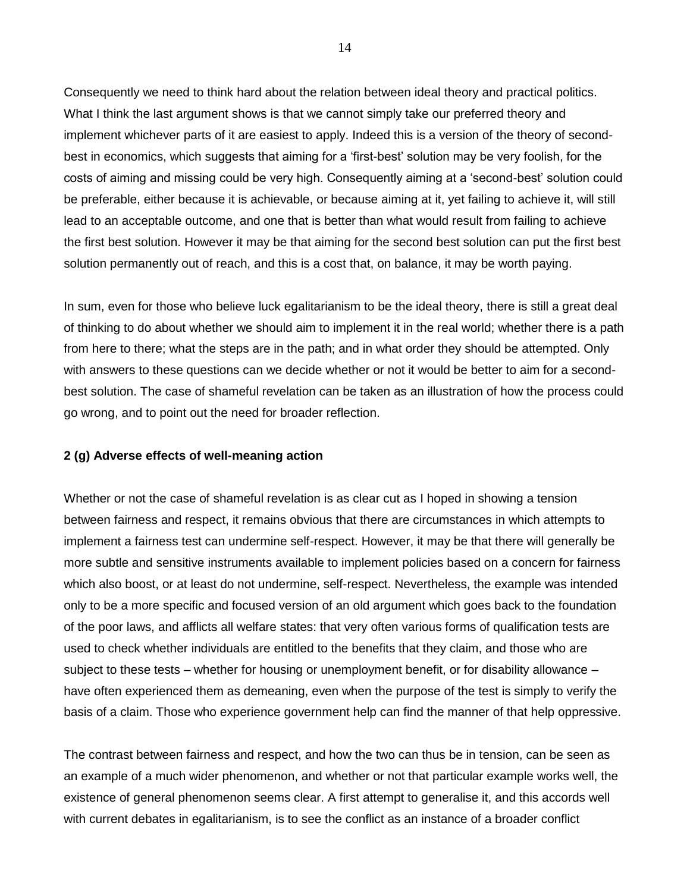Consequently we need to think hard about the relation between ideal theory and practical politics. What I think the last argument shows is that we cannot simply take our preferred theory and implement whichever parts of it are easiest to apply. Indeed this is a version of the theory of secondbest in economics, which suggests that aiming for a 'first-best' solution may be very foolish, for the costs of aiming and missing could be very high. Consequently aiming at a 'second-best' solution could be preferable, either because it is achievable, or because aiming at it, yet failing to achieve it, will still lead to an acceptable outcome, and one that is better than what would result from failing to achieve the first best solution. However it may be that aiming for the second best solution can put the first best solution permanently out of reach, and this is a cost that, on balance, it may be worth paying.

In sum, even for those who believe luck egalitarianism to be the ideal theory, there is still a great deal of thinking to do about whether we should aim to implement it in the real world; whether there is a path from here to there; what the steps are in the path; and in what order they should be attempted. Only with answers to these questions can we decide whether or not it would be better to aim for a secondbest solution. The case of shameful revelation can be taken as an illustration of how the process could go wrong, and to point out the need for broader reflection.

#### **2 (g) Adverse effects of well-meaning action**

Whether or not the case of shameful revelation is as clear cut as I hoped in showing a tension between fairness and respect, it remains obvious that there are circumstances in which attempts to implement a fairness test can undermine self-respect. However, it may be that there will generally be more subtle and sensitive instruments available to implement policies based on a concern for fairness which also boost, or at least do not undermine, self-respect. Nevertheless, the example was intended only to be a more specific and focused version of an old argument which goes back to the foundation of the poor laws, and afflicts all welfare states: that very often various forms of qualification tests are used to check whether individuals are entitled to the benefits that they claim, and those who are subject to these tests – whether for housing or unemployment benefit, or for disability allowance – have often experienced them as demeaning, even when the purpose of the test is simply to verify the basis of a claim. Those who experience government help can find the manner of that help oppressive.

The contrast between fairness and respect, and how the two can thus be in tension, can be seen as an example of a much wider phenomenon, and whether or not that particular example works well, the existence of general phenomenon seems clear. A first attempt to generalise it, and this accords well with current debates in egalitarianism, is to see the conflict as an instance of a broader conflict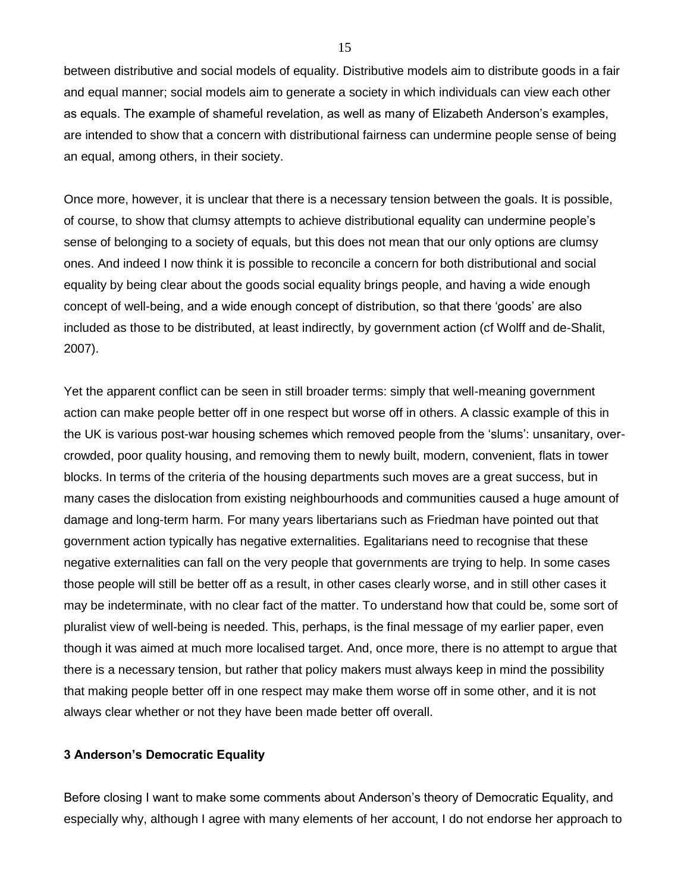between distributive and social models of equality. Distributive models aim to distribute goods in a fair and equal manner; social models aim to generate a society in which individuals can view each other as equals. The example of shameful revelation, as well as many of Elizabeth Anderson's examples, are intended to show that a concern with distributional fairness can undermine people sense of being an equal, among others, in their society.

Once more, however, it is unclear that there is a necessary tension between the goals. It is possible, of course, to show that clumsy attempts to achieve distributional equality can undermine people's sense of belonging to a society of equals, but this does not mean that our only options are clumsy ones. And indeed I now think it is possible to reconcile a concern for both distributional and social equality by being clear about the goods social equality brings people, and having a wide enough concept of well-being, and a wide enough concept of distribution, so that there 'goods' are also included as those to be distributed, at least indirectly, by government action (cf Wolff and de-Shalit, 2007).

Yet the apparent conflict can be seen in still broader terms: simply that well-meaning government action can make people better off in one respect but worse off in others. A classic example of this in the UK is various post-war housing schemes which removed people from the 'slums': unsanitary, overcrowded, poor quality housing, and removing them to newly built, modern, convenient, flats in tower blocks. In terms of the criteria of the housing departments such moves are a great success, but in many cases the dislocation from existing neighbourhoods and communities caused a huge amount of damage and long-term harm. For many years libertarians such as Friedman have pointed out that government action typically has negative externalities. Egalitarians need to recognise that these negative externalities can fall on the very people that governments are trying to help. In some cases those people will still be better off as a result, in other cases clearly worse, and in still other cases it may be indeterminate, with no clear fact of the matter. To understand how that could be, some sort of pluralist view of well-being is needed. This, perhaps, is the final message of my earlier paper, even though it was aimed at much more localised target. And, once more, there is no attempt to argue that there is a necessary tension, but rather that policy makers must always keep in mind the possibility that making people better off in one respect may make them worse off in some other, and it is not always clear whether or not they have been made better off overall.

# **3 Anderson's Democratic Equality**

Before closing I want to make some comments about Anderson's theory of Democratic Equality, and especially why, although I agree with many elements of her account, I do not endorse her approach to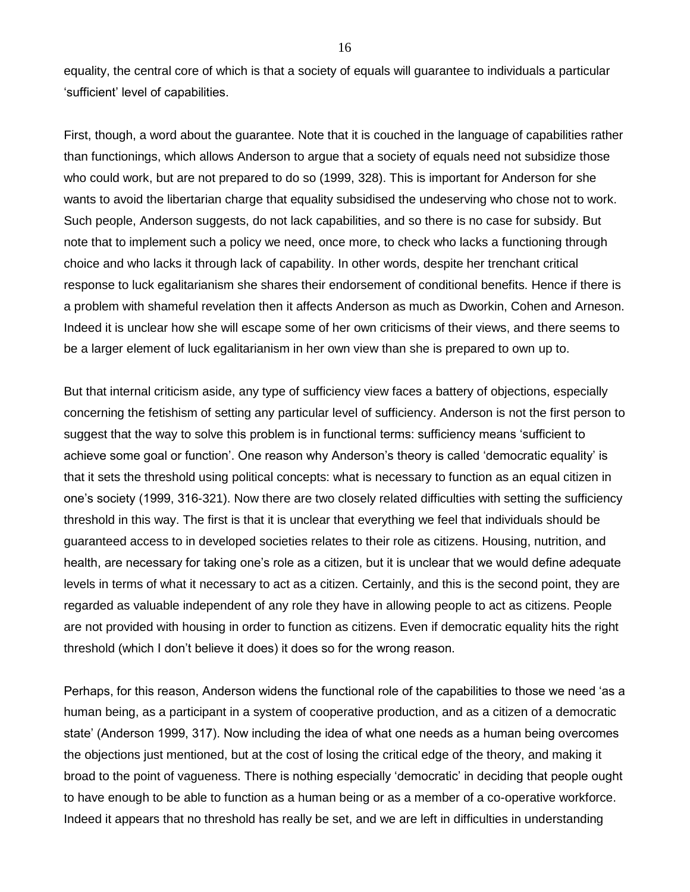equality, the central core of which is that a society of equals will guarantee to individuals a particular 'sufficient' level of capabilities.

First, though, a word about the guarantee. Note that it is couched in the language of capabilities rather than functionings, which allows Anderson to argue that a society of equals need not subsidize those who could work, but are not prepared to do so (1999, 328). This is important for Anderson for she wants to avoid the libertarian charge that equality subsidised the undeserving who chose not to work. Such people, Anderson suggests, do not lack capabilities, and so there is no case for subsidy. But note that to implement such a policy we need, once more, to check who lacks a functioning through choice and who lacks it through lack of capability. In other words, despite her trenchant critical response to luck egalitarianism she shares their endorsement of conditional benefits. Hence if there is a problem with shameful revelation then it affects Anderson as much as Dworkin, Cohen and Arneson. Indeed it is unclear how she will escape some of her own criticisms of their views, and there seems to be a larger element of luck egalitarianism in her own view than she is prepared to own up to.

But that internal criticism aside, any type of sufficiency view faces a battery of objections, especially concerning the fetishism of setting any particular level of sufficiency. Anderson is not the first person to suggest that the way to solve this problem is in functional terms: sufficiency means 'sufficient to achieve some goal or function'. One reason why Anderson's theory is called 'democratic equality' is that it sets the threshold using political concepts: what is necessary to function as an equal citizen in one's society (1999, 316-321). Now there are two closely related difficulties with setting the sufficiency threshold in this way. The first is that it is unclear that everything we feel that individuals should be guaranteed access to in developed societies relates to their role as citizens. Housing, nutrition, and health, are necessary for taking one's role as a citizen, but it is unclear that we would define adequate levels in terms of what it necessary to act as a citizen. Certainly, and this is the second point, they are regarded as valuable independent of any role they have in allowing people to act as citizens. People are not provided with housing in order to function as citizens. Even if democratic equality hits the right threshold (which I don't believe it does) it does so for the wrong reason.

Perhaps, for this reason, Anderson widens the functional role of the capabilities to those we need 'as a human being, as a participant in a system of cooperative production, and as a citizen of a democratic state' (Anderson 1999, 317). Now including the idea of what one needs as a human being overcomes the objections just mentioned, but at the cost of losing the critical edge of the theory, and making it broad to the point of vagueness. There is nothing especially 'democratic' in deciding that people ought to have enough to be able to function as a human being or as a member of a co-operative workforce. Indeed it appears that no threshold has really be set, and we are left in difficulties in understanding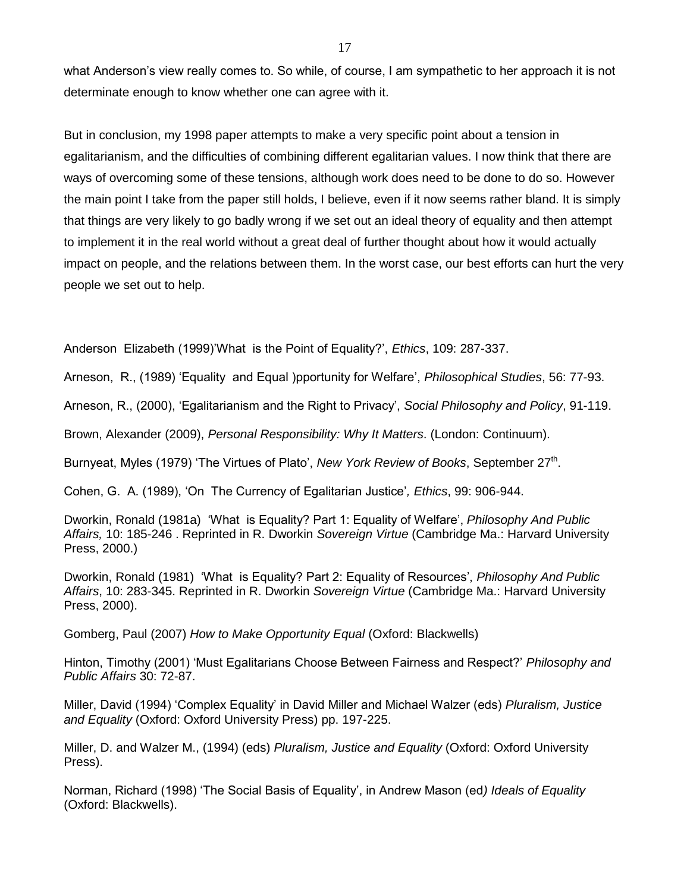what Anderson's view really comes to. So while, of course, I am sympathetic to her approach it is not determinate enough to know whether one can agree with it.

But in conclusion, my 1998 paper attempts to make a very specific point about a tension in egalitarianism, and the difficulties of combining different egalitarian values. I now think that there are ways of overcoming some of these tensions, although work does need to be done to do so. However the main point I take from the paper still holds, I believe, even if it now seems rather bland. It is simply that things are very likely to go badly wrong if we set out an ideal theory of equality and then attempt to implement it in the real world without a great deal of further thought about how it would actually impact on people, and the relations between them. In the worst case, our best efforts can hurt the very people we set out to help.

Anderson Elizabeth (1999)'What is the Point of Equality?', *Ethics*, 109: 287-337.

Arneson, R., (1989) 'Equality and Equal )pportunity for Welfare', *Philosophical Studies*, 56: 77-93.

Arneson, R., (2000), 'Egalitarianism and the Right to Privacy', *Social Philosophy and Policy*, 91-119.

Brown, Alexander (2009), *Personal Responsibility: Why It Matters*. (London: Continuum).

Burnyeat, Myles (1979) 'The Virtues of Plato', New York Review of Books, September 27<sup>th</sup>.

Cohen, G. A. (1989), 'On The Currency of Egalitarian Justice'*, Ethics*, 99: 906-944.

Dworkin, Ronald (1981a) 'What is Equality? Part 1: Equality of Welfare', *Philosophy And Public Affairs,* 10: 185-246 . Reprinted in R. Dworkin *Sovereign Virtue* (Cambridge Ma.: Harvard University Press, 2000.)

Dworkin, Ronald (1981) 'What is Equality? Part 2: Equality of Resources', *Philosophy And Public Affairs*, 10: 283-345. Reprinted in R. Dworkin *Sovereign Virtue* (Cambridge Ma.: Harvard University Press, 2000).

Gomberg, Paul (2007) *How to Make Opportunity Equal* (Oxford: Blackwells)

Hinton, Timothy (2001) 'Must Egalitarians Choose Between Fairness and Respect?' *Philosophy and Public Affairs* 30: 72-87.

Miller, David (1994) 'Complex Equality' in David Miller and Michael Walzer (eds) *Pluralism, Justice and Equality* (Oxford: Oxford University Press) pp. 197-225.

Miller, D. and Walzer M., (1994) (eds) *Pluralism, Justice and Equality* (Oxford: Oxford University Press).

Norman, Richard (1998) 'The Social Basis of Equality', in Andrew Mason (ed*) Ideals of Equality* (Oxford: Blackwells).